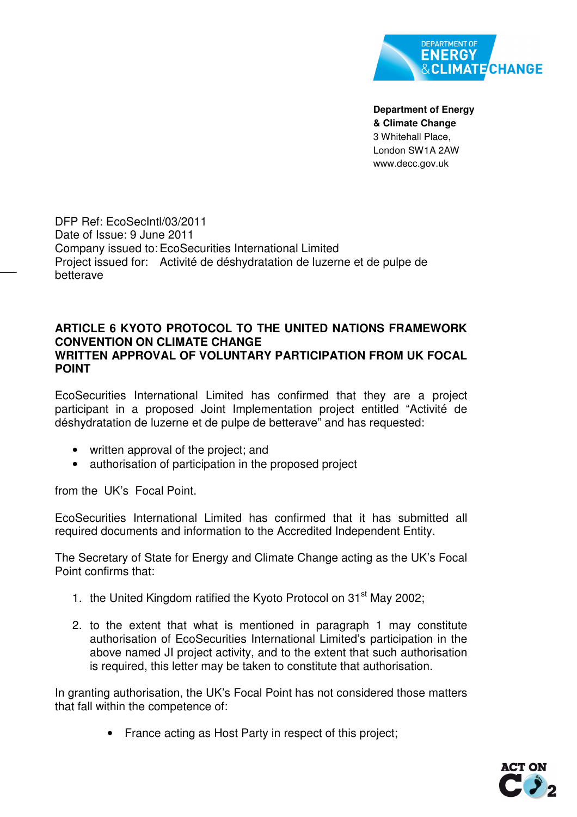

**Department of Energy & Climate Change**  3 Whitehall Place, London SW1A 2AW www.decc.gov.uk

DFP Ref: EcoSecIntl/03/2011 Date of Issue: 9 June 2011 Company issued to: EcoSecurities International Limited Project issued for: Activité de déshydratation de luzerne et de pulpe de betterave

## **ARTICLE 6 KYOTO PROTOCOL TO THE UNITED NATIONS FRAMEWORK CONVENTION ON CLIMATE CHANGE WRITTEN APPROVAL OF VOLUNTARY PARTICIPATION FROM UK FOCAL POINT**

EcoSecurities International Limited has confirmed that they are a project participant in a proposed Joint Implementation project entitled "Activité de déshydratation de luzerne et de pulpe de betterave" and has requested:

- written approval of the project; and
- authorisation of participation in the proposed project

from the UK's Focal Point.

EcoSecurities International Limited has confirmed that it has submitted all required documents and information to the Accredited Independent Entity.

The Secretary of State for Energy and Climate Change acting as the UK's Focal Point confirms that:

- 1. the United Kingdom ratified the Kyoto Protocol on  $31<sup>st</sup>$  May 2002;
- 2. to the extent that what is mentioned in paragraph 1 may constitute authorisation of EcoSecurities International Limited's participation in the above named JI project activity, and to the extent that such authorisation is required, this letter may be taken to constitute that authorisation.

In granting authorisation, the UK's Focal Point has not considered those matters that fall within the competence of:

• France acting as Host Party in respect of this project;